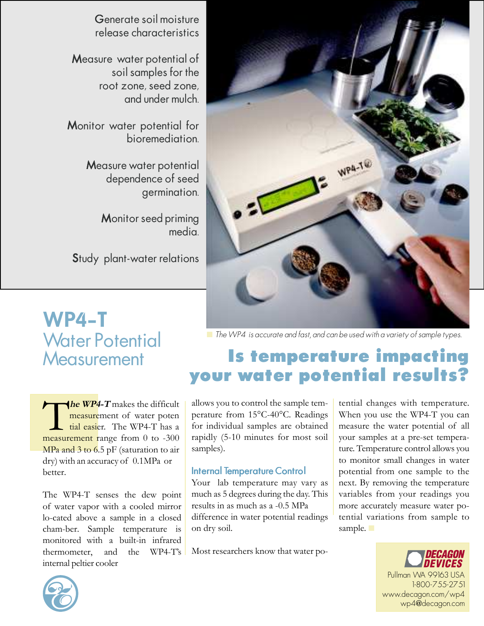

Generate soil moisture release characteristics

Measure water potential of soil samples for the root zone, seed zone, and under mulch.

Monitor water potential for bioremediation.

> Measure water potential dependence of seed germination.

> > Monitor seed priming media.

Study plant-water relations

# **WP**4**-T** Water Potential **Measurement**

**The WP4-T** makes the difficult<br>
measurement of water poten<br>
tial easier. The WP4-T has a<br>
measurement range from 0 to -300  $\sqrt{he \ W P 4}$ -T makes the difficult measurement of water poten tial easier. The WP4-T has a MPa and 3 to 6.5 pF (saturation to air dry) with an accuracy of 0.1MPa or better.

The WP4-T senses the dew point of water vapor with a cooled mirror lo-cated above a sample in a closed cham-ber. Sample temperature is monitored with a built-in infrared thermometer, and the WP4-T's internal peltier cooler

■ The WP4 is accurate and fast, and can be used with a variety of sample types.

## **Is temperature impacting your water potential results?**

allows you to control the sample temperature from 15°C-40°C. Readings for individual samples are obtained rapidly (5-10 minutes for most soil samples).

#### Internal Temperature Control

Your lab temperature may vary as much as 5 degrees during the day. This results in as much as a -0.5 MPa difference in water potential readings on dry soil.

Most researchers know that water po-

tential changes with temperature. When you use the WP4-T you can measure the water potential of all your samples at a pre-set temperature. Temperature control allows you to monitor small changes in water potential from one sample to the next. By removing the temperature variables from your readings you more accurately measure water potential variations from sample to sample.